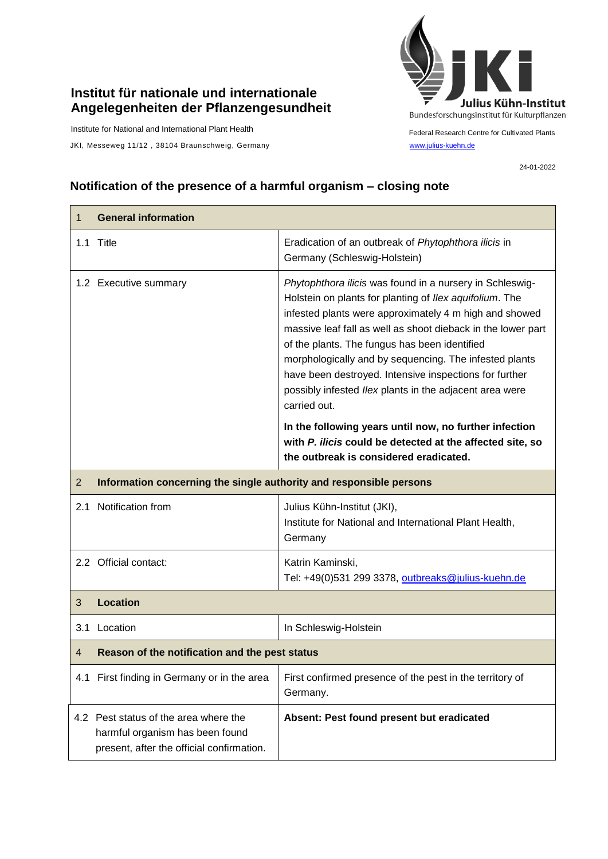## **Institut für nationale und internationale Angelegenheiten der Pflanzengesundheit**

Institute for National and International Plant Health

JKI, Messeweg 11/12, 38104 Braunschweig, Germany [www.julius-kuehn.de](http://www.julius-kuehn.de/)



Federal Research Centre for Cultivated Plants

24-01-2022

## **Notification of the presence of a harmful organism – closing note**

| 1              | <b>General information</b>                                                                                            |                                                                                                                                                                                                                                                                                                                                                                                                                                                                                               |  |
|----------------|-----------------------------------------------------------------------------------------------------------------------|-----------------------------------------------------------------------------------------------------------------------------------------------------------------------------------------------------------------------------------------------------------------------------------------------------------------------------------------------------------------------------------------------------------------------------------------------------------------------------------------------|--|
|                | 1.1 Title                                                                                                             | Eradication of an outbreak of Phytophthora ilicis in<br>Germany (Schleswig-Holstein)                                                                                                                                                                                                                                                                                                                                                                                                          |  |
|                | 1.2 Executive summary                                                                                                 | Phytophthora ilicis was found in a nursery in Schleswig-<br>Holstein on plants for planting of Ilex aquifolium. The<br>infested plants were approximately 4 m high and showed<br>massive leaf fall as well as shoot dieback in the lower part<br>of the plants. The fungus has been identified<br>morphologically and by sequencing. The infested plants<br>have been destroyed. Intensive inspections for further<br>possibly infested Ilex plants in the adjacent area were<br>carried out. |  |
|                |                                                                                                                       | In the following years until now, no further infection<br>with P. ilicis could be detected at the affected site, so<br>the outbreak is considered eradicated.                                                                                                                                                                                                                                                                                                                                 |  |
| $\overline{2}$ | Information concerning the single authority and responsible persons                                                   |                                                                                                                                                                                                                                                                                                                                                                                                                                                                                               |  |
| 2.1            | Notification from                                                                                                     | Julius Kühn-Institut (JKI),<br>Institute for National and International Plant Health,<br>Germany                                                                                                                                                                                                                                                                                                                                                                                              |  |
|                | 2.2 Official contact:                                                                                                 | Katrin Kaminski,<br>Tel: +49(0)531 299 3378, outbreaks@julius-kuehn.de                                                                                                                                                                                                                                                                                                                                                                                                                        |  |
| 3              | <b>Location</b>                                                                                                       |                                                                                                                                                                                                                                                                                                                                                                                                                                                                                               |  |
|                | 3.1 Location                                                                                                          | In Schleswig-Holstein                                                                                                                                                                                                                                                                                                                                                                                                                                                                         |  |
| 4              | Reason of the notification and the pest status                                                                        |                                                                                                                                                                                                                                                                                                                                                                                                                                                                                               |  |
|                | 4.1 First finding in Germany or in the area                                                                           | First confirmed presence of the pest in the territory of<br>Germany.                                                                                                                                                                                                                                                                                                                                                                                                                          |  |
|                | 4.2 Pest status of the area where the<br>harmful organism has been found<br>present, after the official confirmation. | Absent: Pest found present but eradicated                                                                                                                                                                                                                                                                                                                                                                                                                                                     |  |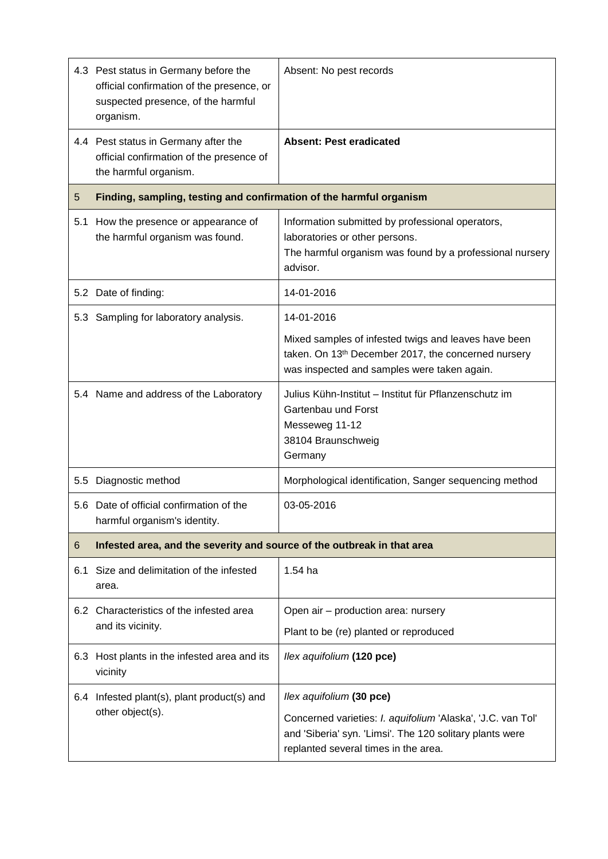|     | 4.3 Pest status in Germany before the<br>official confirmation of the presence, or<br>suspected presence, of the harmful<br>organism. | Absent: No pest records                                                                                                                                                |  |
|-----|---------------------------------------------------------------------------------------------------------------------------------------|------------------------------------------------------------------------------------------------------------------------------------------------------------------------|--|
|     | 4.4 Pest status in Germany after the<br>official confirmation of the presence of<br>the harmful organism.                             | <b>Absent: Pest eradicated</b>                                                                                                                                         |  |
| 5   | Finding, sampling, testing and confirmation of the harmful organism                                                                   |                                                                                                                                                                        |  |
|     | 5.1 How the presence or appearance of<br>the harmful organism was found.                                                              | Information submitted by professional operators,<br>laboratories or other persons.<br>The harmful organism was found by a professional nursery<br>advisor.             |  |
|     | 5.2 Date of finding:                                                                                                                  | 14-01-2016                                                                                                                                                             |  |
|     | 5.3 Sampling for laboratory analysis.                                                                                                 | 14-01-2016                                                                                                                                                             |  |
|     |                                                                                                                                       | Mixed samples of infested twigs and leaves have been<br>taken. On 13 <sup>th</sup> December 2017, the concerned nursery<br>was inspected and samples were taken again. |  |
|     | 5.4 Name and address of the Laboratory                                                                                                | Julius Kühn-Institut – Institut für Pflanzenschutz im<br>Gartenbau und Forst<br>Messeweg 11-12<br>38104 Braunschweig<br>Germany                                        |  |
|     | 5.5 Diagnostic method                                                                                                                 | Morphological identification, Sanger sequencing method                                                                                                                 |  |
|     | 5.6 Date of official confirmation of the<br>harmful organism's identity.                                                              | 03-05-2016                                                                                                                                                             |  |
| 6   | Infested area, and the severity and source of the outbreak in that area                                                               |                                                                                                                                                                        |  |
| 6.1 | Size and delimitation of the infested<br>area.                                                                                        | $1.54$ ha                                                                                                                                                              |  |
|     | 6.2 Characteristics of the infested area<br>and its vicinity.                                                                         | Open air - production area: nursery                                                                                                                                    |  |
|     |                                                                                                                                       | Plant to be (re) planted or reproduced                                                                                                                                 |  |
|     | 6.3 Host plants in the infested area and its<br>vicinity                                                                              | llex aquifolium (120 pce)                                                                                                                                              |  |
| 6.4 | Infested plant(s), plant product(s) and<br>other object(s).                                                                           | llex aquifolium (30 pce)                                                                                                                                               |  |
|     |                                                                                                                                       | Concerned varieties: I. aquifolium 'Alaska', 'J.C. van Tol'<br>and 'Siberia' syn. 'Limsi'. The 120 solitary plants were<br>replanted several times in the area.        |  |